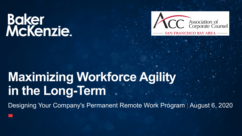

## **Maximizing Workforce Agility in the Long-Term**

Designing Your Company's Permanent Remote Work Program | August 6, 2020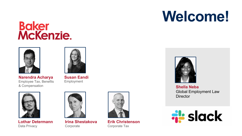

**Narendra Acharya** Employee Tax, Benefits & Compensation



**Susan Eandi** Employment



**Lothar Determann** Data Privacy



**Irina Shestakova Corporate** 



**Erik Christenson** Corporate Tax

## **Welcome!**



**Shella Neba** Global Employment Law **Director** 

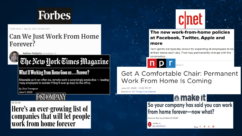

17,068 views | May 20, 2020, 09:01pm EDT

#### **Can We Just Work From Home** Forever?



Nathan Pettijohn Contributor C

### The New York Times Magazine

#### **What If Working From Home Goes on ... Forever?**

Miserable as it can often be, remote work is surprisingly productive  $-$  leading many employers to wonder if they'll ever go back to the office.

**By Clive Thompson** June 9, 2020

### **FAST COMPA**

 $05 - 22 - 20$ 

Here's an ever-growing list of companies that will let people work from home forever



#### The new work-from-home policies at Facebook, Twitter, Apple and more

Tech giants are typically known for expecting all employees to be at their desks each day. That may permanently change with the coronavirus.

#### **Get A Comfortable Chair: Permanent Work From Home Is Coming**

June 22, 2020 · 12:26 PM ET **Heard on All Things Considered** 

> **総make it** So your company has said you can work from home forever-now what?

> > Share

Published Wed, May 27 2020-1:15 PM EDT

lennifer Liu **JLJENNIFERLIU**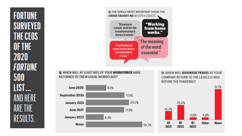**FORTUNE SURVEYED** THE CEOS OF THE 2020 **FORTUNE** 500 LIST... AND HERE ARE THE RESULTS.



**Q. WHEN WILL AT LEAST 90% OF YOUR WORKFORCE HAVE RETURNED TO THEIR USUAL WORKPLACE?** 



**Q. WHEN WILL BUSINESS TRAVEL AT YOUR COMPANY RETURN TO THE LEVELS IT WAS BEFORE THE PANDEMIC?** 

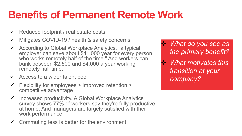## **Benefits of Permanent Remote Work**

- $\checkmark$  Reduced footprint / real estate costs
- $\checkmark$  Mitigates COVID-19 / health & safety concerns
- <sup>ü</sup> According to Global Workplace Analytics, "a typical employer can save about \$11,000 year for every person who works remotely half of the time." And workers can bank between \$2,500 and \$4,000 a year working remotely half time.
- $\checkmark$  Access to a wider talent pool
- $\checkmark$  Flexibility for employees > improved retention > competitive advantage
- $\checkmark$  Increased productivity. A Global Workplace Analytics survey shows 77% of workers say they're fully productive at home. And managers are largely satisfied with their work performance.
- $\checkmark$  Commuting less is better for the environment

v *What do you see as the primary benefit?* 

v *What motivates this transition at your company?*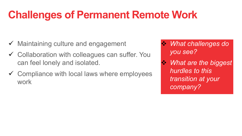## **Challenges of Permanent Remote Work**

- $\checkmark$  Maintaining culture and engagement
- $\checkmark$  Collaboration with colleagues can suffer. You can feel lonely and isolated.
- $\checkmark$  Compliance with local laws where employees work

v *What challenges do you see?* 

v *What are the biggest hurdles to this transition at your company?*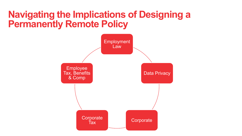### **Navigating the Implications of Designing a Permanently Remote Policy**

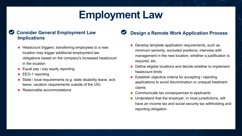## **Employment Law**

#### **Consider General Employment Law Implications**

- $\blacksquare$  Headcount triggers: transferring employees to a new location may trigger additional employment law obligations based on the company's increased headcount in the location
- Equal pay / pay equity reporting
- EEO-1 reporting
- State / local requirements (e.g. state disability leave, sick leave, vacation requirements outside of the US)
- Reasonable accommodations

#### **Design a Remote Work Application Process**

- Develop template application requirements, such as minimum seniority, excluded positions, interview with management in the new location, whether a justification is required, etc.
- Define eligible locations and decide whether to implement headcount limits
- Establish objective criteria for accepting / rejecting applications to avoid discrimination or unequal treatment claims
- Communicate tax consequences to applicants
- $\blacksquare$  Understand that the employer, in most jurisdictions, will have an income tax and social security tax withholding and reporting obligation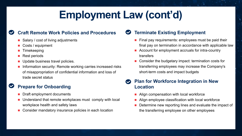## **Employment Law (cont'd)**

#### **Craft Remote Work Policies and Procedures**

- $\blacksquare$  Salary / cost of living adjustments
- Costs / equipment
- **Timekeeping**
- $\blacksquare$  Rest periods
- $\blacksquare$  Update business travel policies.
- n Information security: Remote working carries increased risks of misappropriation of confidential information and loss of trade secret status

#### **Prepare for Onboarding**

- **n** Draft employment documents
- n Understand that remote workplaces must comply with local workplace health and safety laws
- Consider mandatory insurance policies in each location

#### **Terminate Existing Employment**  $\bullet$

- $\blacksquare$  Final pay requirements: employees must be paid their final pay on termination in accordance with applicable law
- Account for employment accruals for intra-country transfers
- $\blacksquare$  Consider the budgetary impact: termination costs for transferring employees may increase the Company's short-term costs and impact budgets

#### **Plan for Workforce Integration in New Location**

- Align compensation with local workforce
- Align employee classification with local workforce
- $\blacksquare$  Determine new reporting lines and evaluate the impact of the transferring employee on other employees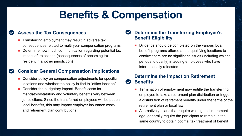## **Benefits & Compensation**

#### **Assess the Tax Consequences**

- $\blacksquare$  Transferring employment may result in adverse tax consequences related to multi-year compensation programs
- $\blacksquare$  Determine how much communication regarding potential tax impact of relocation (consequences of becoming tax resident in another jurisdiction)

#### **Consider General Compensation Implications**

- Consider policy on compensation adjustments for specific locations and whether the policy is tied to "office location"
- Consider the budgetary impact. Benefit costs for mandatory/statutory and voluntary benefits vary between jurisdictions. Since the transferred employees will be put on local benefits, this may impact employer insurance costs and retirement plan contributions

#### **Determine the Transferring Employee's Benefit Eligibility**

Diligence should be completed on the various local benefit programs offered at the qualifying locations to confirm there are no significant issues (including waiting periods to qualify) in adding employees who have internationally relocated

#### **Determine the Impact on Retirement Benefits**

- **n** Termination of employment may entitle the transferring employee to take a retirement plan distribution or trigger a distribution of retirement benefits under the terms of the retirement plan or local law
- Alternatively, plans that require waiting until retirement age, generally require the participant to remain in the same country to obtain optimal tax treatment of benefit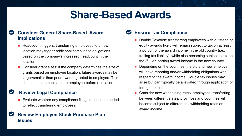## **Share-Based Awards**

#### **Consider General Share-Based Award Implications**

- $\blacksquare$  Headcount triggers: transferring employees to a new location may trigger additional compliance obligations based on the company's increased headcount in the location
- Consider grant sizes: if the company determines the size of grants based on employee location, future awards may be larger/smaller than prior awards granted to employee. This should be communicated to employee before relocation

#### **Review Legal Compliance**

■ Evaluate whether any compliance filings must be amended to reflect transferring employees.

#### **Review Employee Stock Purchase Plan Issues**

#### **Ensure Tax Compliance**

- Double Taxation: transferring employees with outstanding equity awards likely will remain subject to tax on at least a portion of the award income in the old country (i.e., trailing tax liability), while also becoming subject to tax on the (full or partial) award income in the new country
- Depending on the countries, the old and new employer will have reporting and/or withholding obligations with respect to the award income. Double tax issues may arise but can typically be alleviated through application of foreign tax credits
- Consider new withholding rates: employees transferring between different states/ provinces and countries will become subject to different tax withholding rates on award income.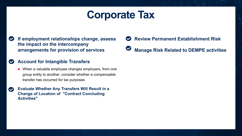## **Corporate Tax**

**If employment relationships change, assess the impact on the intercompany arrangements for provision of services**

#### **Account for Intangible Transfers**

- When a valuable employee changes employers, from one group entity to another, consider whether a compensable transfer has occurred for tax purposes
- **Evaluate Whether Any Transfers Will Result in a**   $\blacktriangledown$ **Change of Location of "Contract Concluding Activities"**

**Review Permanent Establishment Risk Manage Risk Related to DEMPE activities**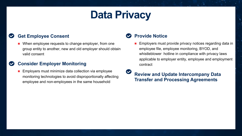## **Data Privacy**

#### **Get Employee Consent**

■ When employee requests to change employer, from one group entity to another, new and old employer should obtain valid consent

#### **Consider Employer Monitoring**

 $\blacksquare$  Employers must minimize data collection via employee monitoring technologies to avoid disproportionally affecting employee and non-employees in the same household

#### **Provide Notice**

**n** Employers must provide privacy notices regarding data in employee file, employee monitoring, BYOD, and whistleblower hotline in compliance with privacy laws applicable to employer entity, employee and employment contract

**Review and Update Intercompany Data Transfer and Processing Agreements**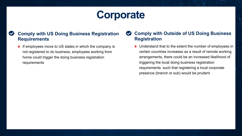## **Corporate**

#### **Comply with US Doing Business Registration Requirements**

 $\blacksquare$  If employees move to US states in which the company is not registered to do business, employees working from home could trigger the doing business registration requirements

#### **Comply with Outside of US Doing Business**   $\bullet$ **Registration**

 $\blacksquare$  Understand that to the extent the number of employees in certain countries increases as a result of remote working arrangements, there could be an increased likelihood of triggering the local doing business registration requirements such that registering a local corporate presence (branch or sub) would be prudent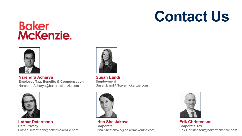

#### **Narendra Acharya**

**Employee Tax, Benefits & Compensation** Narendra.Acharya@bakermckenzie.com



**Lothar Determann Data Privacy** Lothar.Determann@bakermckenzie.com



**Susan Eandi Employment** Susan.Eandi@bakermckenzie.com



**Irina Shestakova Corporate** Irina.Shestakova@bakermckenzie.com



**Erik Christenson Corporate Tax** Erik.Christenson@bakermckenzie.com

## **Contact Us**